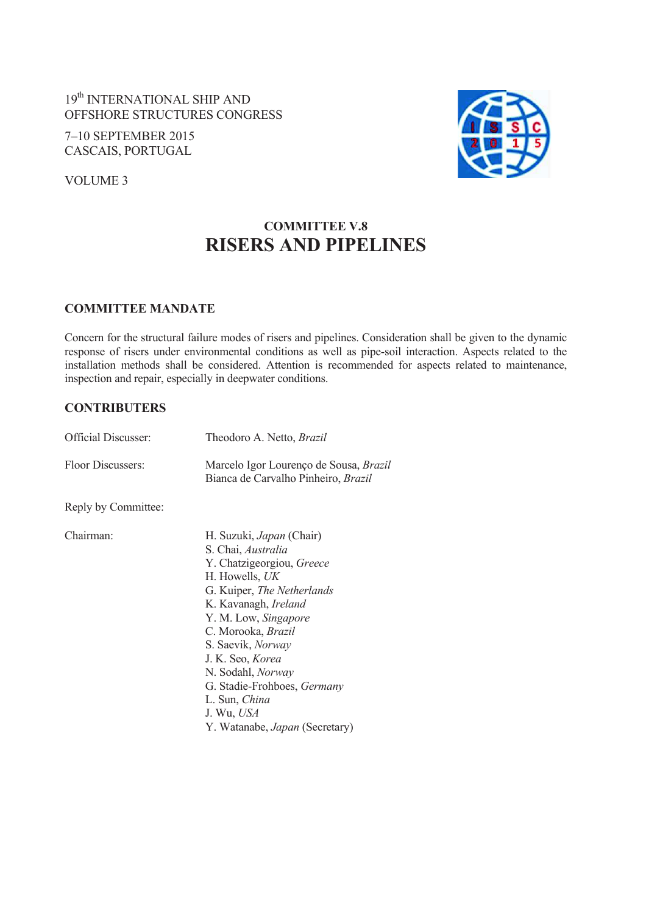19th INTERNATIONAL SHIP AND OFFSHORE STRUCTURES CONGRESS

7–10 SEPTEMBER 2015 CASCAIS, PORTUGAL

VOLUME 3



# **COMMITTEE V.8 RISERS AND PIPELINES**

## **COMMITTEE MANDATE**

Concern for the structural failure modes of risers and pipelines. Consideration shall be given to the dynamic response of risers under environmental conditions as well as pipe-soil interaction. Aspects related to the installation methods shall be considered. Attention is recommended for aspects related to maintenance, inspection and repair, especially in deepwater conditions.

## **CONTRIBUTERS**

| <b>Official Discusser:</b> | Theodoro A. Netto, Brazil                                                            |
|----------------------------|--------------------------------------------------------------------------------------|
| Floor Discussers:          | Marcelo Igor Lourenço de Sousa, Brazil<br>Bianca de Carvalho Pinheiro, <i>Brazil</i> |

Reply by Committee:

Chairman: H. Suzuki, *Japan* (Chair) S. Chai, *Australia* Y. Chatzigeorgiou, *Greece* H. Howells, *UK* G. Kuiper, *The Netherlands* K. Kavanagh, *Ireland* Y. M. Low, *Singapore* C. Morooka, *Brazil* S. Saevik, *Norway* J. K. Seo, *Korea* N. Sodahl, *Norway* G. Stadie-Frohboes, *Germany* L. Sun, *China* J. Wu, *USA* Y. Watanabe, *Japan* (Secretary)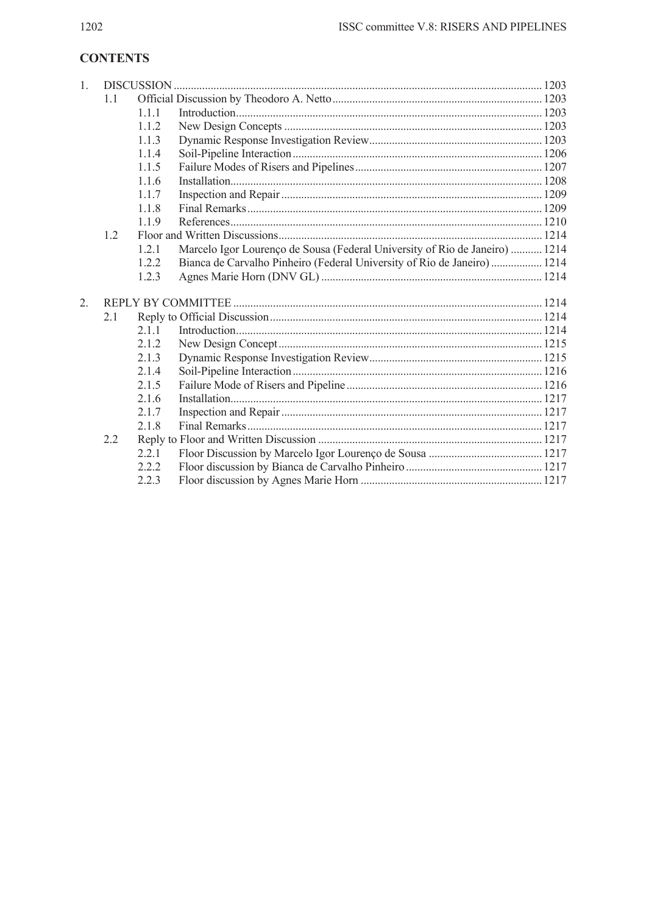# **CONTENTS**

| 1. |     |       |                                                                             |  |
|----|-----|-------|-----------------------------------------------------------------------------|--|
|    | 1.1 |       |                                                                             |  |
|    |     | 1.1.1 |                                                                             |  |
|    |     | 112   |                                                                             |  |
|    |     | 1.1.3 |                                                                             |  |
|    |     | 1.1.4 |                                                                             |  |
|    |     | 1.1.5 |                                                                             |  |
|    |     | 1.1.6 |                                                                             |  |
|    |     | 117   |                                                                             |  |
|    |     | 1.1.8 |                                                                             |  |
|    |     | 1.1.9 |                                                                             |  |
|    | 1.2 |       |                                                                             |  |
|    |     | 1.2.1 | Marcelo Igor Lourenço de Sousa (Federal University of Rio de Janeiro)  1214 |  |
|    |     | 1.2.2 | Bianca de Carvalho Pinheiro (Federal University of Rio de Janeiro) 1214     |  |
|    |     | 1.2.3 |                                                                             |  |
| 2. |     |       |                                                                             |  |
|    | 2.1 |       |                                                                             |  |
|    |     | 2.1.1 |                                                                             |  |
|    |     | 212   |                                                                             |  |
|    |     | 2.1.3 |                                                                             |  |
|    |     | 2.1.4 |                                                                             |  |
|    |     | 2.1.5 |                                                                             |  |
|    |     | 2.1.6 |                                                                             |  |
|    |     | 2.1.7 |                                                                             |  |
|    |     | 2.1.8 |                                                                             |  |
|    | 2.2 |       |                                                                             |  |
|    |     | 2.2.1 |                                                                             |  |
|    |     | 2.2.2 |                                                                             |  |
|    |     | 2.2.3 |                                                                             |  |
|    |     |       |                                                                             |  |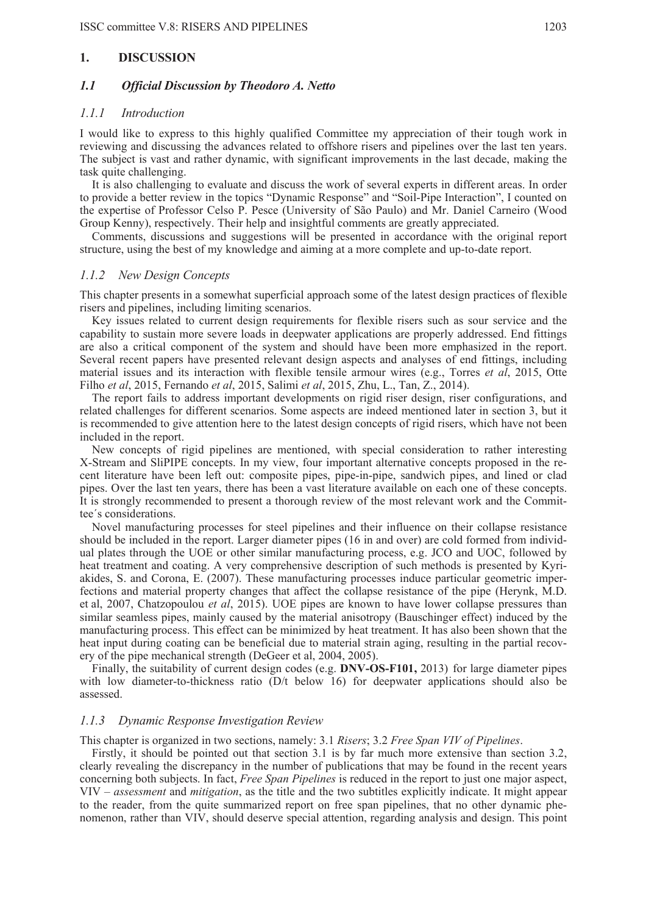#### **1. DISCUSSION**

### *1.1 Official Discussion by Theodoro A. Netto*

### *1.1.1 Introduction*

I would like to express to this highly qualified Committee my appreciation of their tough work in reviewing and discussing the advances related to offshore risers and pipelines over the last ten years. The subject is vast and rather dynamic, with significant improvements in the last decade, making the task quite challenging.

It is also challenging to evaluate and discuss the work of several experts in different areas. In order to provide a better review in the topics "Dynamic Response" and "Soil-Pipe Interaction", I counted on the expertise of Professor Celso P. Pesce (University of São Paulo) and Mr. Daniel Carneiro (Wood Group Kenny), respectively. Their help and insightful comments are greatly appreciated.

Comments, discussions and suggestions will be presented in accordance with the original report structure, using the best of my knowledge and aiming at a more complete and up-to-date report.

#### *1.1.2 New Design Concepts*

This chapter presents in a somewhat superficial approach some of the latest design practices of flexible risers and pipelines, including limiting scenarios.

Key issues related to current design requirements for flexible risers such as sour service and the capability to sustain more severe loads in deepwater applications are properly addressed. End fittings are also a critical component of the system and should have been more emphasized in the report. Several recent papers have presented relevant design aspects and analyses of end fittings, including material issues and its interaction with flexible tensile armour wires (e.g., Torres *et al*, 2015, Otte Filho *et al*, 2015, Fernando *et al*, 2015, Salimi *et al*, 2015, Zhu, L., Tan, Z., 2014).

The report fails to address important developments on rigid riser design, riser configurations, and related challenges for different scenarios. Some aspects are indeed mentioned later in section 3, but it is recommended to give attention here to the latest design concepts of rigid risers, which have not been included in the report.

New concepts of rigid pipelines are mentioned, with special consideration to rather interesting X-Stream and SliPIPE concepts. In my view, four important alternative concepts proposed in the recent literature have been left out: composite pipes, pipe-in-pipe, sandwich pipes, and lined or clad pipes. Over the last ten years, there has been a vast literature available on each one of these concepts. It is strongly recommended to present a thorough review of the most relevant work and the Committee´s considerations.

Novel manufacturing processes for steel pipelines and their influence on their collapse resistance should be included in the report. Larger diameter pipes (16 in and over) are cold formed from individual plates through the UOE or other similar manufacturing process, e.g. JCO and UOC, followed by heat treatment and coating. A very comprehensive description of such methods is presented by Kyriakides, S. and Corona, E. (2007). These manufacturing processes induce particular geometric imperfections and material property changes that affect the collapse resistance of the pipe (Herynk, M.D. et al, 2007, Chatzopoulou *et al*, 2015). UOE pipes are known to have lower collapse pressures than similar seamless pipes, mainly caused by the material anisotropy (Bauschinger effect) induced by the manufacturing process. This effect can be minimized by heat treatment. It has also been shown that the heat input during coating can be beneficial due to material strain aging, resulting in the partial recovery of the pipe mechanical strength (DeGeer et al, 2004, 2005).

Finally, the suitability of current design codes (e.g. **DNV-OS-F101,** 2013) for large diameter pipes with low diameter-to-thickness ratio (D/t below 16) for deepwater applications should also be assessed.

#### *1.1.3 Dynamic Response Investigation Review*

#### This chapter is organized in two sections, namely: 3.1 *Risers*; 3.2 *Free Span VIV of Pipelines*.

Firstly, it should be pointed out that section 3.1 is by far much more extensive than section 3.2, clearly revealing the discrepancy in the number of publications that may be found in the recent years concerning both subjects. In fact, *Free Span Pipelines* is reduced in the report to just one major aspect, VIV – *assessment* and *mitigation*, as the title and the two subtitles explicitly indicate. It might appear to the reader, from the quite summarized report on free span pipelines, that no other dynamic phenomenon, rather than VIV, should deserve special attention, regarding analysis and design. This point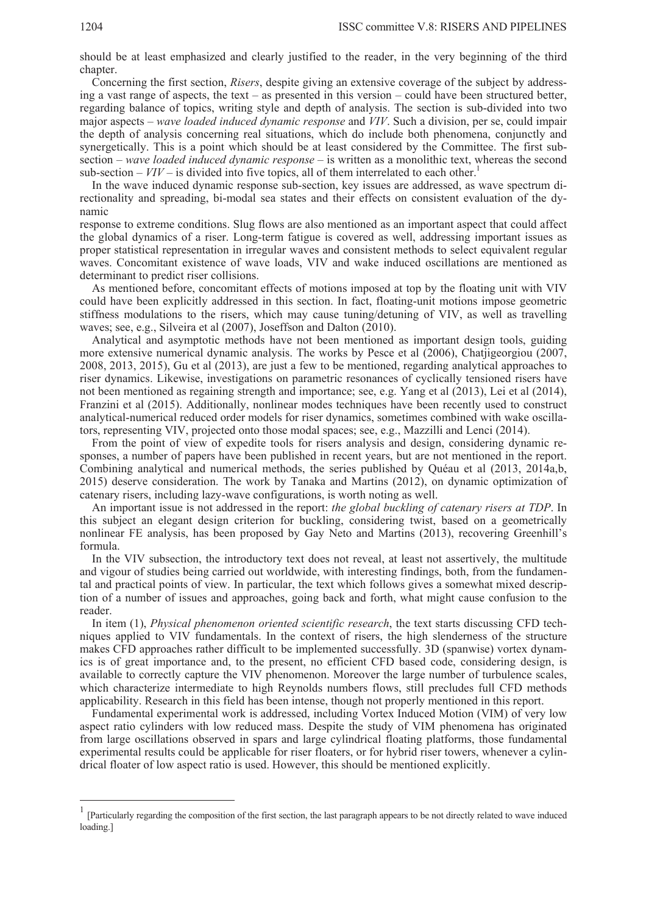should be at least emphasized and clearly justified to the reader, in the very beginning of the third chapter

Concerning the first section, *Risers*, despite giving an extensive coverage of the subject by addressing a vast range of aspects, the text – as presented in this version – could have been structured better, regarding balance of topics, writing style and depth of analysis. The section is sub-divided into two major aspects – *wave loaded induced dynamic response* and *VIV*. Such a division, per se, could impair the depth of analysis concerning real situations, which do include both phenomena, conjunctly and synergetically. This is a point which should be at least considered by the Committee. The first subsection – *wave loaded induced dynamic response* – is written as a monolithic text, whereas the second sub-section –  $VIV$  – is divided into five topics, all of them interrelated to each other.<sup>1</sup>

In the wave induced dynamic response sub-section, key issues are addressed, as wave spectrum directionality and spreading, bi-modal sea states and their effects on consistent evaluation of the dynamic

response to extreme conditions. Slug flows are also mentioned as an important aspect that could affect the global dynamics of a riser. Long-term fatigue is covered as well, addressing important issues as proper statistical representation in irregular waves and consistent methods to select equivalent regular waves. Concomitant existence of wave loads, VIV and wake induced oscillations are mentioned as determinant to predict riser collisions.

As mentioned before, concomitant effects of motions imposed at top by the floating unit with VIV could have been explicitly addressed in this section. In fact, floating-unit motions impose geometric stiffness modulations to the risers, which may cause tuning/detuning of VIV, as well as travelling waves; see, e.g., Silveira et al (2007), Joseffson and Dalton (2010).

Analytical and asymptotic methods have not been mentioned as important design tools, guiding more extensive numerical dynamic analysis. The works by Pesce et al (2006), Chatjigeorgiou (2007, 2008, 2013, 2015), Gu et al (2013), are just a few to be mentioned, regarding analytical approaches to riser dynamics. Likewise, investigations on parametric resonances of cyclically tensioned risers have not been mentioned as regaining strength and importance; see, e.g. Yang et al (2013), Lei et al (2014), Franzini et al (2015). Additionally, nonlinear modes techniques have been recently used to construct analytical-numerical reduced order models for riser dynamics, sometimes combined with wake oscillators, representing VIV, projected onto those modal spaces; see, e.g., Mazzilli and Lenci (2014).

From the point of view of expedite tools for risers analysis and design, considering dynamic responses, a number of papers have been published in recent years, but are not mentioned in the report. Combining analytical and numerical methods, the series published by Quéau et al (2013, 2014a,b, 2015) deserve consideration. The work by Tanaka and Martins (2012), on dynamic optimization of catenary risers, including lazy-wave configurations, is worth noting as well.

An important issue is not addressed in the report: *the global buckling of catenary risers at TDP*. In this subject an elegant design criterion for buckling, considering twist, based on a geometrically nonlinear FE analysis, has been proposed by Gay Neto and Martins (2013), recovering Greenhill's formula.

In the VIV subsection, the introductory text does not reveal, at least not assertively, the multitude and vigour of studies being carried out worldwide, with interesting findings, both, from the fundamental and practical points of view. In particular, the text which follows gives a somewhat mixed description of a number of issues and approaches, going back and forth, what might cause confusion to the reader.

In item (1), *Physical phenomenon oriented scientific research*, the text starts discussing CFD techniques applied to VIV fundamentals. In the context of risers, the high slenderness of the structure makes CFD approaches rather difficult to be implemented successfully. 3D (spanwise) vortex dynamics is of great importance and, to the present, no efficient CFD based code, considering design, is available to correctly capture the VIV phenomenon. Moreover the large number of turbulence scales, which characterize intermediate to high Reynolds numbers flows, still precludes full CFD methods applicability. Research in this field has been intense, though not properly mentioned in this report.

Fundamental experimental work is addressed, including Vortex Induced Motion (VIM) of very low aspect ratio cylinders with low reduced mass. Despite the study of VIM phenomena has originated from large oscillations observed in spars and large cylindrical floating platforms, those fundamental experimental results could be applicable for riser floaters, or for hybrid riser towers, whenever a cylindrical floater of low aspect ratio is used. However, this should be mentioned explicitly.

 $\overline{a}$ 

<sup>1</sup> [Particularly regarding the composition of the first section, the last paragraph appears to be not directly related to wave induced loading.]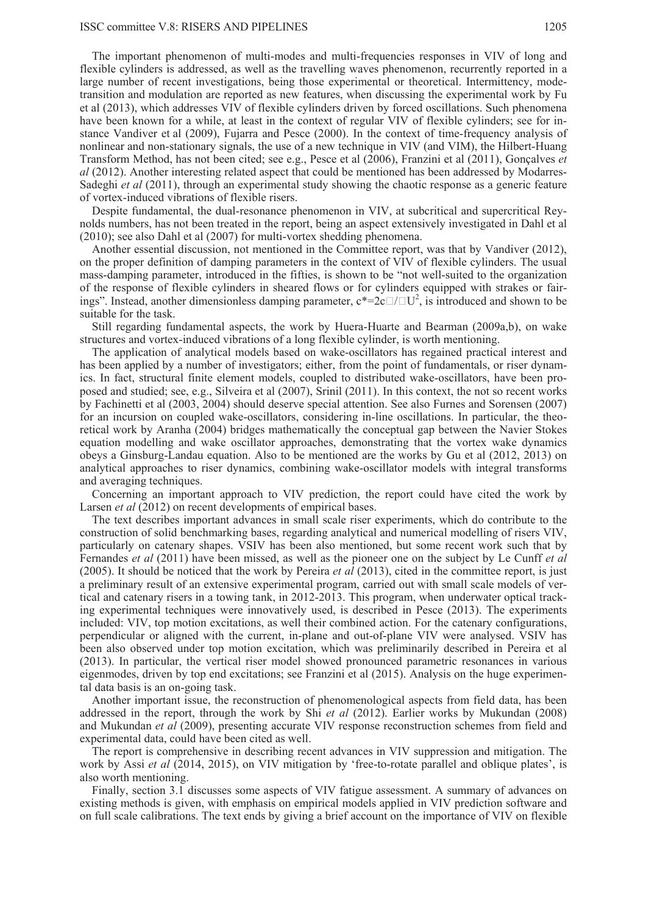#### ISSC committee V.8: RISERS AND PIPELINES 1205

The important phenomenon of multi-modes and multi-frequencies responses in VIV of long and flexible cylinders is addressed, as well as the travelling waves phenomenon, recurrently reported in a large number of recent investigations, being those experimental or theoretical. Intermittency, modetransition and modulation are reported as new features, when discussing the experimental work by Fu et al (2013), which addresses VIV of flexible cylinders driven by forced oscillations. Such phenomena have been known for a while, at least in the context of regular VIV of flexible cylinders; see for instance Vandiver et al (2009), Fujarra and Pesce (2000). In the context of time-frequency analysis of nonlinear and non-stationary signals, the use of a new technique in VIV (and VIM), the Hilbert-Huang Transform Method, has not been cited; see e.g., Pesce et al (2006), Franzini et al (2011), Gonçalves *et al* (2012). Another interesting related aspect that could be mentioned has been addressed by Modarres-Sadeghi *et al* (2011), through an experimental study showing the chaotic response as a generic feature of vortex-induced vibrations of flexible risers.

Despite fundamental, the dual-resonance phenomenon in VIV, at subcritical and supercritical Reynolds numbers, has not been treated in the report, being an aspect extensively investigated in Dahl et al (2010); see also Dahl et al (2007) for multi-vortex shedding phenomena.

Another essential discussion, not mentioned in the Committee report, was that by Vandiver (2012), on the proper definition of damping parameters in the context of VIV of flexible cylinders. The usual mass-damping parameter, introduced in the fifties, is shown to be "not well-suited to the organization of the response of flexible cylinders in sheared flows or for cylinders equipped with strakes or fairings". Instead, another dimensionless damping parameter,  $c^*=2c \Box / \Box U^2$ , is introduced and shown to be suitable for the task.

Still regarding fundamental aspects, the work by Huera-Huarte and Bearman (2009a,b), on wake structures and vortex-induced vibrations of a long flexible cylinder, is worth mentioning.

The application of analytical models based on wake-oscillators has regained practical interest and has been applied by a number of investigators; either, from the point of fundamentals, or riser dynamics. In fact, structural finite element models, coupled to distributed wake-oscillators, have been proposed and studied; see, e.g., Silveira et al (2007), Srinil (2011). In this context, the not so recent works by Fachinetti et al (2003, 2004) should deserve special attention. See also Furnes and Sorensen (2007) for an incursion on coupled wake-oscillators, considering in-line oscillations. In particular, the theoretical work by Aranha (2004) bridges mathematically the conceptual gap between the Navier Stokes equation modelling and wake oscillator approaches, demonstrating that the vortex wake dynamics obeys a Ginsburg-Landau equation. Also to be mentioned are the works by Gu et al (2012, 2013) on analytical approaches to riser dynamics, combining wake-oscillator models with integral transforms and averaging techniques.

Concerning an important approach to VIV prediction, the report could have cited the work by Larsen *et al* (2012) on recent developments of empirical bases.

The text describes important advances in small scale riser experiments, which do contribute to the construction of solid benchmarking bases, regarding analytical and numerical modelling of risers VIV, particularly on catenary shapes. VSIV has been also mentioned, but some recent work such that by Fernandes *et al* (2011) have been missed, as well as the pioneer one on the subject by Le Cunff *et al* (2005). It should be noticed that the work by Pereira *et al* (2013), cited in the committee report, is just a preliminary result of an extensive experimental program, carried out with small scale models of vertical and catenary risers in a towing tank, in 2012-2013. This program, when underwater optical tracking experimental techniques were innovatively used, is described in Pesce (2013). The experiments included: VIV, top motion excitations, as well their combined action. For the catenary configurations, perpendicular or aligned with the current, in-plane and out-of-plane VIV were analysed. VSIV has been also observed under top motion excitation, which was preliminarily described in Pereira et al (2013). In particular, the vertical riser model showed pronounced parametric resonances in various eigenmodes, driven by top end excitations; see Franzini et al (2015). Analysis on the huge experimental data basis is an on-going task.

Another important issue, the reconstruction of phenomenological aspects from field data, has been addressed in the report, through the work by Shi *et al* (2012). Earlier works by Mukundan (2008) and Mukundan *et al* (2009), presenting accurate VIV response reconstruction schemes from field and experimental data, could have been cited as well.

The report is comprehensive in describing recent advances in VIV suppression and mitigation. The work by Assi *et al* (2014, 2015), on VIV mitigation by 'free-to-rotate parallel and oblique plates', is also worth mentioning.

Finally, section 3.1 discusses some aspects of VIV fatigue assessment. A summary of advances on existing methods is given, with emphasis on empirical models applied in VIV prediction software and on full scale calibrations. The text ends by giving a brief account on the importance of VIV on flexible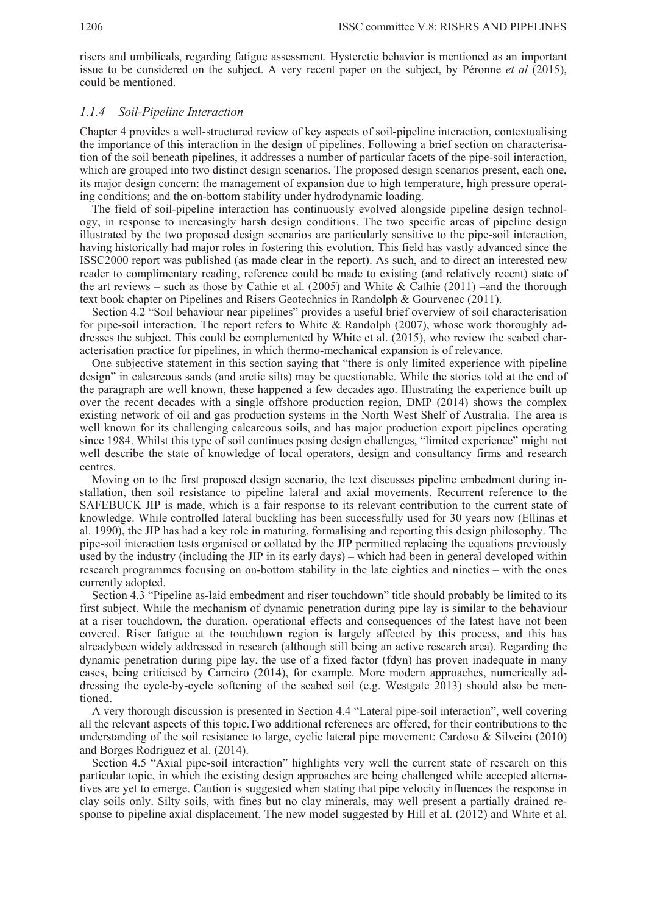risers and umbilicals, regarding fatigue assessment. Hysteretic behavior is mentioned as an important issue to be considered on the subject. A very recent paper on the subject, by Péronne *et al* (2015), could be mentioned.

#### *1.1.4 Soil-Pipeline Interaction*

Chapter 4 provides a well-structured review of key aspects of soil-pipeline interaction, contextualising the importance of this interaction in the design of pipelines. Following a brief section on characterisation of the soil beneath pipelines, it addresses a number of particular facets of the pipe-soil interaction, which are grouped into two distinct design scenarios. The proposed design scenarios present, each one, its major design concern: the management of expansion due to high temperature, high pressure operating conditions; and the on-bottom stability under hydrodynamic loading.

The field of soil-pipeline interaction has continuously evolved alongside pipeline design technology, in response to increasingly harsh design conditions. The two specific areas of pipeline design illustrated by the two proposed design scenarios are particularly sensitive to the pipe-soil interaction, having historically had major roles in fostering this evolution. This field has vastly advanced since the ISSC2000 report was published (as made clear in the report). As such, and to direct an interested new reader to complimentary reading, reference could be made to existing (and relatively recent) state of the art reviews – such as those by Cathie et al. (2005) and White & Cathie (2011) –and the thorough text book chapter on Pipelines and Risers Geotechnics in Randolph & Gourvenec (2011).

Section 4.2 "Soil behaviour near pipelines" provides a useful brief overview of soil characterisation for pipe-soil interaction. The report refers to White & Randolph (2007), whose work thoroughly addresses the subject. This could be complemented by White et al. (2015), who review the seabed characterisation practice for pipelines, in which thermo-mechanical expansion is of relevance.

One subjective statement in this section saying that "there is only limited experience with pipeline design" in calcareous sands (and arctic silts) may be questionable. While the stories told at the end of the paragraph are well known, these happened a few decades ago. Illustrating the experience built up over the recent decades with a single offshore production region, DMP (2014) shows the complex existing network of oil and gas production systems in the North West Shelf of Australia. The area is well known for its challenging calcareous soils, and has major production export pipelines operating since 1984. Whilst this type of soil continues posing design challenges, "limited experience" might not well describe the state of knowledge of local operators, design and consultancy firms and research centres.

Moving on to the first proposed design scenario, the text discusses pipeline embedment during installation, then soil resistance to pipeline lateral and axial movements. Recurrent reference to the SAFEBUCK JIP is made, which is a fair response to its relevant contribution to the current state of knowledge. While controlled lateral buckling has been successfully used for 30 years now (Ellinas et al. 1990), the JIP has had a key role in maturing, formalising and reporting this design philosophy. The pipe-soil interaction tests organised or collated by the JIP permitted replacing the equations previously used by the industry (including the JIP in its early days) – which had been in general developed within research programmes focusing on on-bottom stability in the late eighties and nineties – with the ones currently adopted.

Section 4.3 "Pipeline as-laid embedment and riser touchdown" title should probably be limited to its first subject. While the mechanism of dynamic penetration during pipe lay is similar to the behaviour at a riser touchdown, the duration, operational effects and consequences of the latest have not been covered. Riser fatigue at the touchdown region is largely affected by this process, and this has alreadybeen widely addressed in research (although still being an active research area). Regarding the dynamic penetration during pipe lay, the use of a fixed factor (fdyn) has proven inadequate in many cases, being criticised by Carneiro (2014), for example. More modern approaches, numerically addressing the cycle-by-cycle softening of the seabed soil (e.g. Westgate 2013) should also be mentioned.

A very thorough discussion is presented in Section 4.4 "Lateral pipe-soil interaction", well covering all the relevant aspects of this topic.Two additional references are offered, for their contributions to the understanding of the soil resistance to large, cyclic lateral pipe movement: Cardoso & Silveira (2010) and Borges Rodriguez et al. (2014).

Section 4.5 "Axial pipe-soil interaction" highlights very well the current state of research on this particular topic, in which the existing design approaches are being challenged while accepted alternatives are yet to emerge. Caution is suggested when stating that pipe velocity influences the response in clay soils only. Silty soils, with fines but no clay minerals, may well present a partially drained response to pipeline axial displacement. The new model suggested by Hill et al. (2012) and White et al.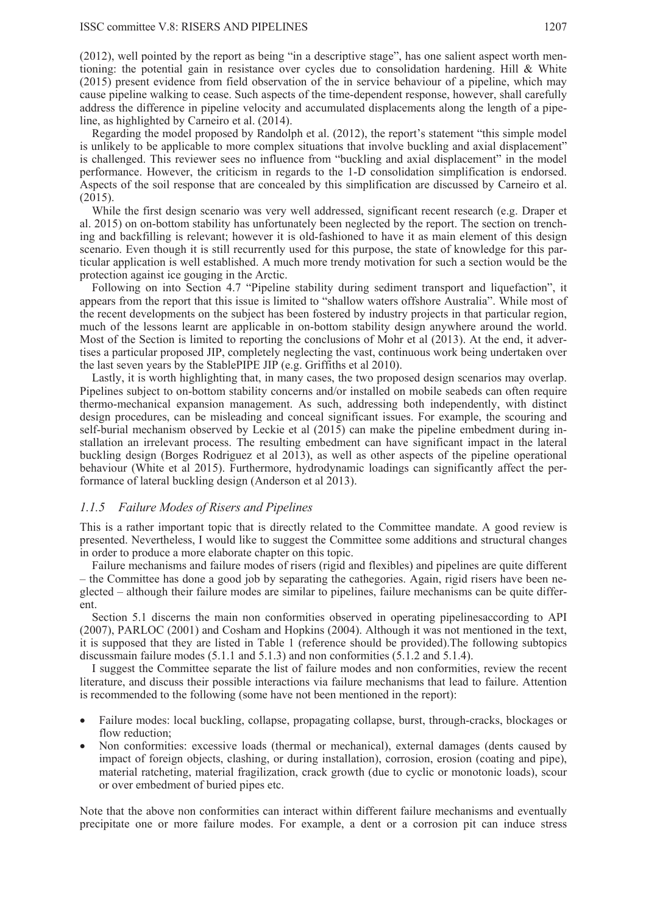(2012), well pointed by the report as being "in a descriptive stage", has one salient aspect worth mentioning: the potential gain in resistance over cycles due to consolidation hardening. Hill  $\&$  White (2015) present evidence from field observation of the in service behaviour of a pipeline, which may cause pipeline walking to cease. Such aspects of the time-dependent response, however, shall carefully address the difference in pipeline velocity and accumulated displacements along the length of a pipeline, as highlighted by Carneiro et al. (2014).

Regarding the model proposed by Randolph et al. (2012), the report's statement "this simple model is unlikely to be applicable to more complex situations that involve buckling and axial displacement" is challenged. This reviewer sees no influence from "buckling and axial displacement" in the model performance. However, the criticism in regards to the 1-D consolidation simplification is endorsed. Aspects of the soil response that are concealed by this simplification are discussed by Carneiro et al. (2015).

While the first design scenario was very well addressed, significant recent research (e.g. Draper et al. 2015) on on-bottom stability has unfortunately been neglected by the report. The section on trenching and backfilling is relevant; however it is old-fashioned to have it as main element of this design scenario. Even though it is still recurrently used for this purpose, the state of knowledge for this particular application is well established. A much more trendy motivation for such a section would be the protection against ice gouging in the Arctic.

Following on into Section 4.7 "Pipeline stability during sediment transport and liquefaction", it appears from the report that this issue is limited to "shallow waters offshore Australia". While most of the recent developments on the subject has been fostered by industry projects in that particular region, much of the lessons learnt are applicable in on-bottom stability design anywhere around the world. Most of the Section is limited to reporting the conclusions of Mohr et al (2013). At the end, it advertises a particular proposed JIP, completely neglecting the vast, continuous work being undertaken over the last seven years by the StablePIPE JIP (e.g. Griffiths et al 2010).

Lastly, it is worth highlighting that, in many cases, the two proposed design scenarios may overlap. Pipelines subject to on-bottom stability concerns and/or installed on mobile seabeds can often require thermo-mechanical expansion management. As such, addressing both independently, with distinct design procedures, can be misleading and conceal significant issues. For example, the scouring and self-burial mechanism observed by Leckie et al (2015) can make the pipeline embedment during installation an irrelevant process. The resulting embedment can have significant impact in the lateral buckling design (Borges Rodriguez et al 2013), as well as other aspects of the pipeline operational behaviour (White et al 2015). Furthermore, hydrodynamic loadings can significantly affect the performance of lateral buckling design (Anderson et al 2013).

## *1.1.5 Failure Modes of Risers and Pipelines*

This is a rather important topic that is directly related to the Committee mandate. A good review is presented. Nevertheless, I would like to suggest the Committee some additions and structural changes in order to produce a more elaborate chapter on this topic.

Failure mechanisms and failure modes of risers (rigid and flexibles) and pipelines are quite different – the Committee has done a good job by separating the cathegories. Again, rigid risers have been neglected – although their failure modes are similar to pipelines, failure mechanisms can be quite different.

Section 5.1 discerns the main non conformities observed in operating pipelinesaccording to API (2007), PARLOC (2001) and Cosham and Hopkins (2004). Although it was not mentioned in the text, it is supposed that they are listed in Table 1 (reference should be provided).The following subtopics discussmain failure modes (5.1.1 and 5.1.3) and non conformities (5.1.2 and 5.1.4).

I suggest the Committee separate the list of failure modes and non conformities, review the recent literature, and discuss their possible interactions via failure mechanisms that lead to failure. Attention is recommended to the following (some have not been mentioned in the report):

- Failure modes: local buckling, collapse, propagating collapse, burst, through-cracks, blockages or flow reduction;
- x Non conformities: excessive loads (thermal or mechanical), external damages (dents caused by impact of foreign objects, clashing, or during installation), corrosion, erosion (coating and pipe), material ratcheting, material fragilization, crack growth (due to cyclic or monotonic loads), scour or over embedment of buried pipes etc.

Note that the above non conformities can interact within different failure mechanisms and eventually precipitate one or more failure modes. For example, a dent or a corrosion pit can induce stress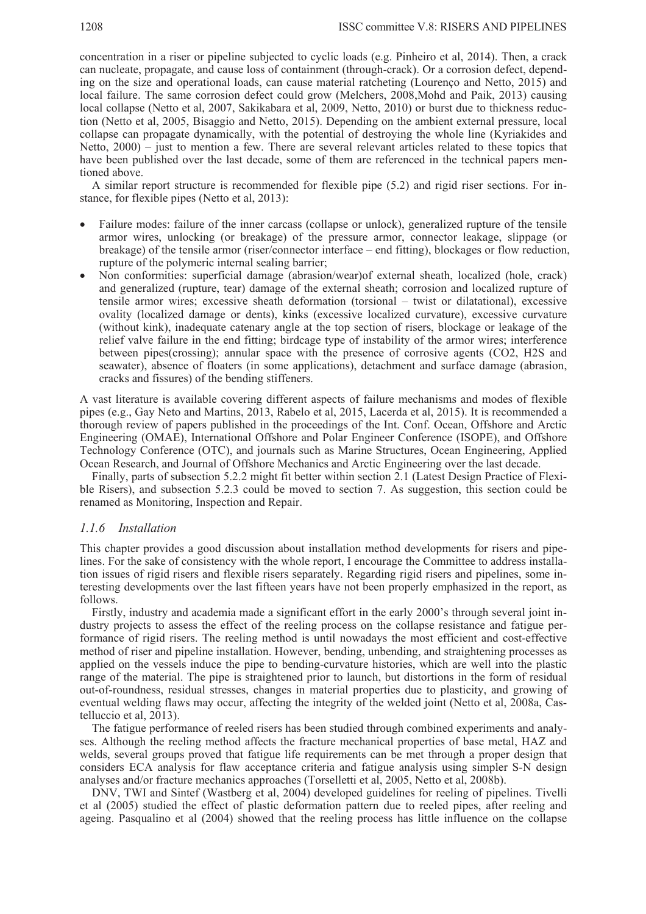concentration in a riser or pipeline subjected to cyclic loads (e.g. Pinheiro et al, 2014). Then, a crack can nucleate, propagate, and cause loss of containment (through-crack). Or a corrosion defect, depending on the size and operational loads, can cause material ratcheting (Lourenço and Netto, 2015) and local failure. The same corrosion defect could grow (Melchers, 2008,Mohd and Paik, 2013) causing local collapse (Netto et al, 2007, Sakikabara et al, 2009, Netto, 2010) or burst due to thickness reduction (Netto et al, 2005, Bisaggio and Netto, 2015). Depending on the ambient external pressure, local collapse can propagate dynamically, with the potential of destroying the whole line (Kyriakides and Netto, 2000) – just to mention a few. There are several relevant articles related to these topics that have been published over the last decade, some of them are referenced in the technical papers mentioned above.

A similar report structure is recommended for flexible pipe (5.2) and rigid riser sections. For instance, for flexible pipes (Netto et al, 2013):

- Failure modes: failure of the inner carcass (collapse or unlock), generalized rupture of the tensile armor wires, unlocking (or breakage) of the pressure armor, connector leakage, slippage (or breakage) of the tensile armor (riser/connector interface – end fitting), blockages or flow reduction, rupture of the polymeric internal sealing barrier;
- Non conformities: superficial damage (abrasion/wear)of external sheath, localized (hole, crack) and generalized (rupture, tear) damage of the external sheath; corrosion and localized rupture of tensile armor wires; excessive sheath deformation (torsional – twist or dilatational), excessive ovality (localized damage or dents), kinks (excessive localized curvature), excessive curvature (without kink), inadequate catenary angle at the top section of risers, blockage or leakage of the relief valve failure in the end fitting; birdcage type of instability of the armor wires; interference between pipes(crossing); annular space with the presence of corrosive agents (CO2, H2S and seawater), absence of floaters (in some applications), detachment and surface damage (abrasion, cracks and fissures) of the bending stiffeners.

A vast literature is available covering different aspects of failure mechanisms and modes of flexible pipes (e.g., Gay Neto and Martins, 2013, Rabelo et al, 2015, Lacerda et al, 2015). It is recommended a thorough review of papers published in the proceedings of the Int. Conf. Ocean, Offshore and Arctic Engineering (OMAE), International Offshore and Polar Engineer Conference (ISOPE), and Offshore Technology Conference (OTC), and journals such as Marine Structures, Ocean Engineering, Applied Ocean Research, and Journal of Offshore Mechanics and Arctic Engineering over the last decade.

Finally, parts of subsection 5.2.2 might fit better within section 2.1 (Latest Design Practice of Flexible Risers), and subsection 5.2.3 could be moved to section 7. As suggestion, this section could be renamed as Monitoring, Inspection and Repair.

#### *1.1.6 Installation*

This chapter provides a good discussion about installation method developments for risers and pipelines. For the sake of consistency with the whole report, I encourage the Committee to address installation issues of rigid risers and flexible risers separately. Regarding rigid risers and pipelines, some interesting developments over the last fifteen years have not been properly emphasized in the report, as follows.

Firstly, industry and academia made a significant effort in the early 2000's through several joint industry projects to assess the effect of the reeling process on the collapse resistance and fatigue performance of rigid risers. The reeling method is until nowadays the most efficient and cost-effective method of riser and pipeline installation. However, bending, unbending, and straightening processes as applied on the vessels induce the pipe to bending-curvature histories, which are well into the plastic range of the material. The pipe is straightened prior to launch, but distortions in the form of residual out-of-roundness, residual stresses, changes in material properties due to plasticity, and growing of eventual welding flaws may occur, affecting the integrity of the welded joint (Netto et al, 2008a, Castelluccio et al, 2013).

The fatigue performance of reeled risers has been studied through combined experiments and analyses. Although the reeling method affects the fracture mechanical properties of base metal, HAZ and welds, several groups proved that fatigue life requirements can be met through a proper design that considers ECA analysis for flaw acceptance criteria and fatigue analysis using simpler S-N design analyses and/or fracture mechanics approaches (Torselletti et al, 2005, Netto et al, 2008b).

DNV, TWI and Sintef (Wastberg et al, 2004) developed guidelines for reeling of pipelines. Tivelli et al (2005) studied the effect of plastic deformation pattern due to reeled pipes, after reeling and ageing. Pasqualino et al (2004) showed that the reeling process has little influence on the collapse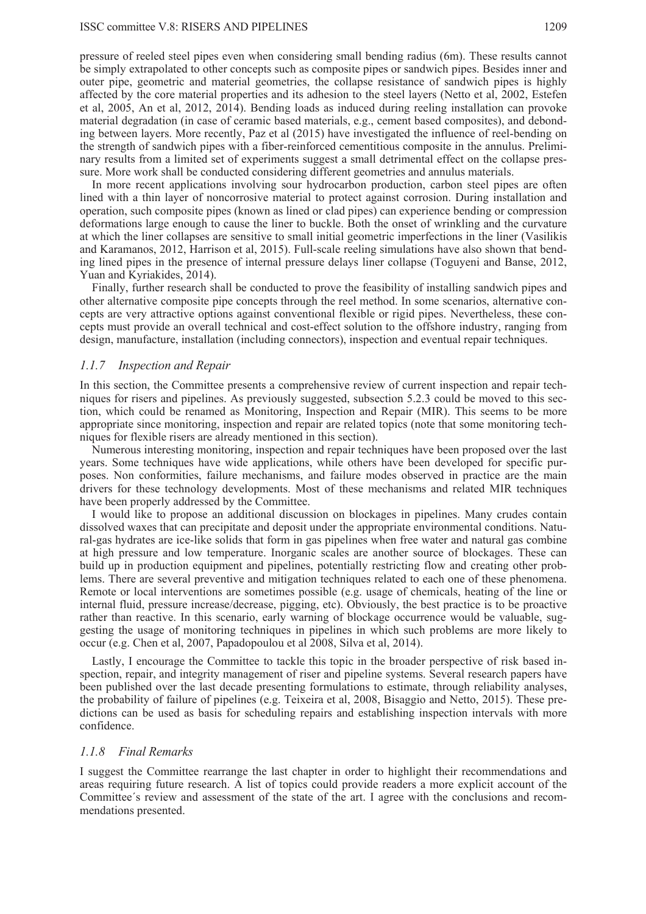pressure of reeled steel pipes even when considering small bending radius (6m). These results cannot be simply extrapolated to other concepts such as composite pipes or sandwich pipes. Besides inner and outer pipe, geometric and material geometries, the collapse resistance of sandwich pipes is highly affected by the core material properties and its adhesion to the steel layers (Netto et al, 2002, Estefen et al, 2005, An et al, 2012, 2014). Bending loads as induced during reeling installation can provoke material degradation (in case of ceramic based materials, e.g., cement based composites), and debonding between layers. More recently, Paz et al (2015) have investigated the influence of reel-bending on the strength of sandwich pipes with a fiber-reinforced cementitious composite in the annulus. Preliminary results from a limited set of experiments suggest a small detrimental effect on the collapse pressure. More work shall be conducted considering different geometries and annulus materials.

In more recent applications involving sour hydrocarbon production, carbon steel pipes are often lined with a thin layer of noncorrosive material to protect against corrosion. During installation and operation, such composite pipes (known as lined or clad pipes) can experience bending or compression deformations large enough to cause the liner to buckle. Both the onset of wrinkling and the curvature at which the liner collapses are sensitive to small initial geometric imperfections in the liner (Vasilikis and Karamanos, 2012, Harrison et al, 2015). Full-scale reeling simulations have also shown that bending lined pipes in the presence of internal pressure delays liner collapse (Toguyeni and Banse, 2012, Yuan and Kyriakides, 2014).

Finally, further research shall be conducted to prove the feasibility of installing sandwich pipes and other alternative composite pipe concepts through the reel method. In some scenarios, alternative concepts are very attractive options against conventional flexible or rigid pipes. Nevertheless, these concepts must provide an overall technical and cost-effect solution to the offshore industry, ranging from design, manufacture, installation (including connectors), inspection and eventual repair techniques.

#### *1.1.7 Inspection and Repair*

In this section, the Committee presents a comprehensive review of current inspection and repair techniques for risers and pipelines. As previously suggested, subsection 5.2.3 could be moved to this section, which could be renamed as Monitoring, Inspection and Repair (MIR). This seems to be more appropriate since monitoring, inspection and repair are related topics (note that some monitoring techniques for flexible risers are already mentioned in this section).

Numerous interesting monitoring, inspection and repair techniques have been proposed over the last years. Some techniques have wide applications, while others have been developed for specific purposes. Non conformities, failure mechanisms, and failure modes observed in practice are the main drivers for these technology developments. Most of these mechanisms and related MIR techniques have been properly addressed by the Committee.

I would like to propose an additional discussion on blockages in pipelines. Many crudes contain dissolved waxes that can precipitate and deposit under the appropriate environmental conditions. Natural-gas hydrates are ice-like solids that form in gas pipelines when free water and natural gas combine at high pressure and low temperature. Inorganic scales are another source of blockages. These can build up in production equipment and pipelines, potentially restricting flow and creating other problems. There are several preventive and mitigation techniques related to each one of these phenomena. Remote or local interventions are sometimes possible (e.g. usage of chemicals, heating of the line or internal fluid, pressure increase/decrease, pigging, etc). Obviously, the best practice is to be proactive rather than reactive. In this scenario, early warning of blockage occurrence would be valuable, suggesting the usage of monitoring techniques in pipelines in which such problems are more likely to occur (e.g. Chen et al, 2007, Papadopoulou et al 2008, Silva et al, 2014).

Lastly, I encourage the Committee to tackle this topic in the broader perspective of risk based inspection, repair, and integrity management of riser and pipeline systems. Several research papers have been published over the last decade presenting formulations to estimate, through reliability analyses, the probability of failure of pipelines (e.g. Teixeira et al, 2008, Bisaggio and Netto, 2015). These predictions can be used as basis for scheduling repairs and establishing inspection intervals with more confidence.

#### *1.1.8 Final Remarks*

I suggest the Committee rearrange the last chapter in order to highlight their recommendations and areas requiring future research. A list of topics could provide readers a more explicit account of the Committee´s review and assessment of the state of the art. I agree with the conclusions and recommendations presented.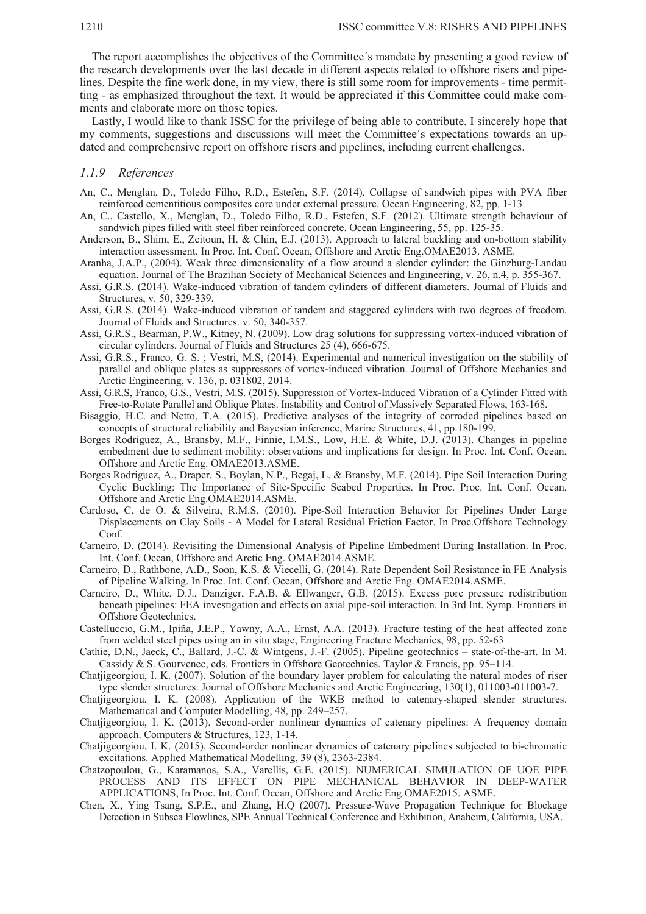The report accomplishes the objectives of the Committee´s mandate by presenting a good review of the research developments over the last decade in different aspects related to offshore risers and pipelines. Despite the fine work done, in my view, there is still some room for improvements - time permitting - as emphasized throughout the text. It would be appreciated if this Committee could make comments and elaborate more on those topics.

Lastly, I would like to thank ISSC for the privilege of being able to contribute. I sincerely hope that my comments, suggestions and discussions will meet the Committee´s expectations towards an updated and comprehensive report on offshore risers and pipelines, including current challenges.

#### *1.1.9 References*

- An, C., Menglan, D., Toledo Filho, R.D., Estefen, S.F. (2014). Collapse of sandwich pipes with PVA fiber reinforced cementitious composites core under external pressure. Ocean Engineering, 82, pp. 1-13
- An, C., Castello, X., Menglan, D., Toledo Filho, R.D., Estefen, S.F. (2012). Ultimate strength behaviour of sandwich pipes filled with steel fiber reinforced concrete. Ocean Engineering, 55, pp. 125-35.
- Anderson, B., Shim, E., Zeitoun, H. & Chin, E.J. (2013). Approach to lateral buckling and on-bottom stability interaction assessment. In Proc. Int. Conf. Ocean, Offshore and Arctic Eng.OMAE2013. ASME.
- Aranha, J.A.P., (2004). Weak three dimensionality of a flow around a slender cylinder: the Ginzburg-Landau equation. Journal of The Brazilian Society of Mechanical Sciences and Engineering, v. 26, n.4, p. 355-367.
- Assi, G.R.S. (2014). Wake-induced vibration of tandem cylinders of different diameters. Journal of Fluids and Structures, v. 50, 329-339.
- Assi, G.R.S. (2014). Wake-induced vibration of tandem and staggered cylinders with two degrees of freedom. Journal of Fluids and Structures. v. 50, 340-357.
- Assi, G.R.S., Bearman, P.W., Kitney, N. (2009). Low drag solutions for suppressing vortex-induced vibration of circular cylinders. Journal of Fluids and Structures 25 (4), 666-675.
- Assi, G.R.S., Franco, G. S. ; Vestri, M.S, (2014). Experimental and numerical investigation on the stability of parallel and oblique plates as suppressors of vortex-induced vibration. Journal of Offshore Mechanics and Arctic Engineering, v. 136, p. 031802, 2014.
- Assi, G.R.S, Franco, G.S., Vestri, M.S. (2015). Suppression of Vortex-Induced Vibration of a Cylinder Fitted with Free-to-Rotate Parallel and Oblique Plates. Instability and Control of Massively Separated Flows, 163-168.
- Bisaggio, H.C. and Netto, T.A. (2015). Predictive analyses of the integrity of corroded pipelines based on concepts of structural reliability and Bayesian inference, Marine Structures, 41, pp.180-199.
- Borges Rodriguez, A., Bransby, M.F., Finnie, I.M.S., Low, H.E. & White, D.J. (2013). Changes in pipeline embedment due to sediment mobility: observations and implications for design. In Proc. Int. Conf. Ocean, Offshore and Arctic Eng. OMAE2013.ASME.
- Borges Rodriguez, A., Draper, S., Boylan, N.P., Begaj, L. & Bransby, M.F. (2014). Pipe Soil Interaction During Cyclic Buckling: The Importance of Site-Specific Seabed Properties. In Proc. Proc. Int. Conf. Ocean, Offshore and Arctic Eng.OMAE2014.ASME.
- Cardoso, C. de O. & Silveira, R.M.S. (2010). Pipe-Soil Interaction Behavior for Pipelines Under Large Displacements on Clay Soils - A Model for Lateral Residual Friction Factor. In Proc.Offshore Technology Conf.
- Carneiro, D. (2014). Revisiting the Dimensional Analysis of Pipeline Embedment During Installation. In Proc. Int. Conf. Ocean, Offshore and Arctic Eng. OMAE2014.ASME.
- Carneiro, D., Rathbone, A.D., Soon, K.S. & Viecelli, G. (2014). Rate Dependent Soil Resistance in FE Analysis of Pipeline Walking. In Proc. Int. Conf. Ocean, Offshore and Arctic Eng. OMAE2014.ASME.
- Carneiro, D., White, D.J., Danziger, F.A.B. & Ellwanger, G.B. (2015). Excess pore pressure redistribution beneath pipelines: FEA investigation and effects on axial pipe-soil interaction. In 3rd Int. Symp. Frontiers in Offshore Geotechnics.
- Castelluccio, G.M., Ipiña, J.E.P., Yawny, A.A., Ernst, A.A. (2013). Fracture testing of the heat affected zone from welded steel pipes using an in situ stage, Engineering Fracture Mechanics, 98, pp. 52-63
- Cathie, D.N., Jaeck, C., Ballard, J.-C. & Wintgens, J.-F. (2005). Pipeline geotechnics state-of-the-art. In M. Cassidy & S. Gourvenec, eds. Frontiers in Offshore Geotechnics. Taylor & Francis, pp. 95–114.
- Chatjigeorgiou, I. K. (2007). Solution of the boundary layer problem for calculating the natural modes of riser type slender structures. Journal of Offshore Mechanics and Arctic Engineering, 130(1), 011003-011003-7.
- Chatjigeorgiou, I. K. (2008). Application of the WKB method to catenary-shaped slender structures. Mathematical and Computer Modelling, 48, pp. 249–257.
- Chatjigeorgiou, I. K. (2013). Second-order nonlinear dynamics of catenary pipelines: A frequency domain approach. Computers & Structures, 123, 1-14.
- Chatjigeorgiou, I. K. (2015). Second-order nonlinear dynamics of catenary pipelines subjected to bi-chromatic excitations. Applied Mathematical Modelling, 39 (8), 2363-2384.
- Chatzopoulou, G., Karamanos, S.A., Varellis, G.E. (2015). NUMERICAL SIMULATION OF UOE PIPE PROCESS AND ITS EFFECT ON PIPE MECHANICAL BEHAVIOR IN DEEP-WATER APPLICATIONS, In Proc. Int. Conf. Ocean, Offshore and Arctic Eng.OMAE2015. ASME.
- Chen, X., Ying Tsang, S.P.E., and Zhang, H.Q (2007). Pressure-Wave Propagation Technique for Blockage Detection in Subsea Flowlines, SPE Annual Technical Conference and Exhibition, Anaheim, California, USA.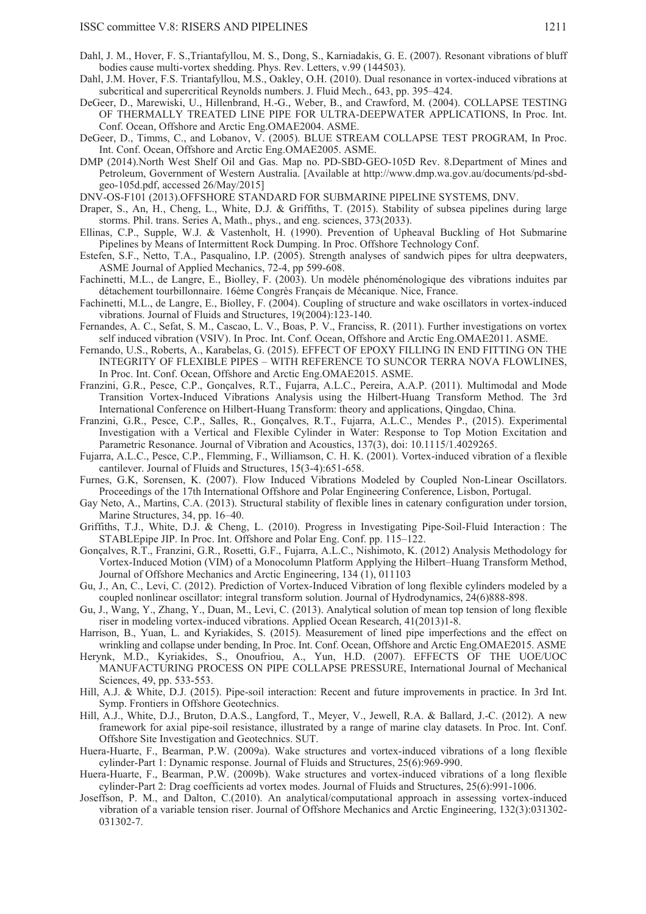- Dahl, J. M., Hover, F. S.,Triantafyllou, M. S., Dong, S., Karniadakis, G. E. (2007). Resonant vibrations of bluff bodies cause multi-vortex shedding. Phys. Rev. Letters, v.99 (144503).
- Dahl, J.M. Hover, F.S. Triantafyllou, M.S., Oakley, O.H. (2010). Dual resonance in vortex-induced vibrations at subcritical and supercritical Reynolds numbers. J. Fluid Mech., 643, pp. 395–424.
- DeGeer, D., Marewiski, U., Hillenbrand, H.-G., Weber, B., and Crawford, M. (2004). COLLAPSE TESTING OF THERMALLY TREATED LINE PIPE FOR ULTRA-DEEPWATER APPLICATIONS, In Proc. Int. Conf. Ocean, Offshore and Arctic Eng.OMAE2004. ASME.
- DeGeer, D., Timms, C., and Lobanov, V. (2005). BLUE STREAM COLLAPSE TEST PROGRAM, In Proc. Int. Conf. Ocean, Offshore and Arctic Eng.OMAE2005. ASME.
- DMP (2014).North West Shelf Oil and Gas. Map no. PD-SBD-GEO-105D Rev. 8.Department of Mines and Petroleum, Government of Western Australia. [Available at http://www.dmp.wa.gov.au/documents/pd-sbdgeo-105d.pdf, accessed 26/May/2015]
- DNV-OS-F101 (2013).OFFSHORE STANDARD FOR SUBMARINE PIPELINE SYSTEMS, DNV.
- Draper, S., An, H., Cheng, L., White, D.J. & Griffiths, T. (2015). Stability of subsea pipelines during large storms. Phil. trans. Series A, Math., phys., and eng. sciences, 373(2033).
- Ellinas, C.P., Supple, W.J. & Vastenholt, H. (1990). Prevention of Upheaval Buckling of Hot Submarine Pipelines by Means of Intermittent Rock Dumping. In Proc. Offshore Technology Conf.
- Estefen, S.F., Netto, T.A., Pasqualino, I.P. (2005). Strength analyses of sandwich pipes for ultra deepwaters, ASME Journal of Applied Mechanics, 72-4, pp 599-608.
- Fachinetti, M.L., de Langre, E., Biolley, F. (2003). Un modèle phénoménologique des vibrations induites par détachement tourbillonnaire. 16ème Congrès Français de Mécanique. Nice, France.
- Fachinetti, M.L., de Langre, E., Biolley, F. (2004). Coupling of structure and wake oscillators in vortex-induced vibrations. Journal of Fluids and Structures, 19(2004):123-140.
- Fernandes, A. C., Sefat, S. M., Cascao, L. V., Boas, P. V., Franciss, R. (2011). Further investigations on vortex self induced vibration (VSIV). In Proc. Int. Conf. Ocean, Offshore and Arctic Eng.OMAE2011. ASME.
- Fernando, U.S., Roberts, A., Karabelas, G. (2015). EFFECT OF EPOXY FILLING IN END FITTING ON THE INTEGRITY OF FLEXIBLE PIPES – WITH REFERENCE TO SUNCOR TERRA NOVA FLOWLINES, In Proc. Int. Conf. Ocean, Offshore and Arctic Eng.OMAE2015. ASME.
- Franzini, G.R., Pesce, C.P., Gonçalves, R.T., Fujarra, A.L.C., Pereira, A.A.P. (2011). Multimodal and Mode Transition Vortex-Induced Vibrations Analysis using the Hilbert-Huang Transform Method. The 3rd International Conference on Hilbert-Huang Transform: theory and applications, Qingdao, China.
- Franzini, G.R., Pesce, C.P., Salles, R., Gonçalves, R.T., Fujarra, A.L.C., Mendes P., (2015). Experimental Investigation with a Vertical and Flexible Cylinder in Water: Response to Top Motion Excitation and Parametric Resonance. Journal of Vibration and Acoustics, 137(3), doi: 10.1115/1.4029265.
- Fujarra, A.L.C., Pesce, C.P., Flemming, F., Williamson, C. H. K. (2001). Vortex-induced vibration of a flexible cantilever. Journal of Fluids and Structures, 15(3-4):651-658.
- Furnes, G.K, Sorensen, K. (2007). Flow Induced Vibrations Modeled by Coupled Non-Linear Oscillators. Proceedings of the 17th International Offshore and Polar Engineering Conference, Lisbon, Portugal.
- Gay Neto, A., Martins, C.A. (2013). Structural stability of flexible lines in catenary configuration under torsion, Marine Structures, 34, pp. 16–40.
- Griffiths, T.J., White, D.J. & Cheng, L. (2010). Progress in Investigating Pipe-Soil-Fluid Interaction : The STABLEpipe JIP. In Proc. Int. Offshore and Polar Eng. Conf. pp. 115–122.
- Gonçalves, R.T., Franzini, G.R., Rosetti, G.F., Fujarra, A.L.C., Nishimoto, K. (2012) Analysis Methodology for Vortex-Induced Motion (VIM) of a Monocolumn Platform Applying the Hilbert–Huang Transform Method, Journal of Offshore Mechanics and Arctic Engineering, 134 (1), 011103
- Gu, J., An, C., Levi, C. (2012). Prediction of Vortex-Induced Vibration of long flexible cylinders modeled by a coupled nonlinear oscillator: integral transform solution. Journal of Hydrodynamics, 24(6)888-898.
- Gu, J., Wang, Y., Zhang, Y., Duan, M., Levi, C. (2013). Analytical solution of mean top tension of long flexible riser in modeling vortex-induced vibrations. Applied Ocean Research, 41(2013)1-8.
- Harrison, B., Yuan, L. and Kyriakides, S. (2015). Measurement of lined pipe imperfections and the effect on wrinkling and collapse under bending, In Proc. Int. Conf. Ocean, Offshore and Arctic Eng.OMAE2015. ASME
- Herynk, M.D., Kyriakides, S., Onoufriou, A., Yun, H.D. (2007). EFFECTS OF THE UOE/UOC MANUFACTURING PROCESS ON PIPE COLLAPSE PRESSURE, International Journal of Mechanical Sciences, 49, pp. 533-553.
- Hill, A.J. & White, D.J. (2015). Pipe-soil interaction: Recent and future improvements in practice. In 3rd Int. Symp. Frontiers in Offshore Geotechnics.
- Hill, A.J., White, D.J., Bruton, D.A.S., Langford, T., Meyer, V., Jewell, R.A. & Ballard, J.-C. (2012). A new framework for axial pipe-soil resistance, illustrated by a range of marine clay datasets. In Proc. Int. Conf. Offshore Site Investigation and Geotechnics. SUT.
- Huera-Huarte, F., Bearman, P.W. (2009a). Wake structures and vortex-induced vibrations of a long flexible cylinder-Part 1: Dynamic response. Journal of Fluids and Structures, 25(6):969-990.
- Huera-Huarte, F., Bearman, P.W. (2009b). Wake structures and vortex-induced vibrations of a long flexible cylinder-Part 2: Drag coefficients ad vortex modes. Journal of Fluids and Structures, 25(6):991-1006.
- Joseffson, P. M., and Dalton, C.(2010). An analytical/computational approach in assessing vortex-induced vibration of a variable tension riser. Journal of Offshore Mechanics and Arctic Engineering, 132(3):031302- 031302-7.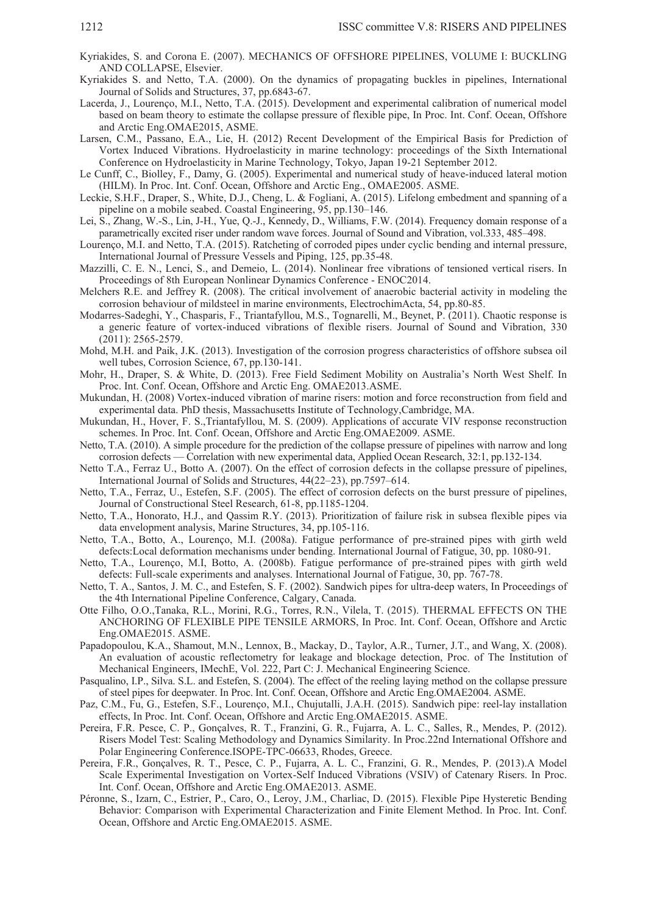- Kyriakides, S. and Corona E. (2007). MECHANICS OF OFFSHORE PIPELINES, VOLUME I: BUCKLING AND COLLAPSE, Elsevier.
- Kyriakides S. and Netto, T.A. (2000). On the dynamics of propagating buckles in pipelines, International Journal of Solids and Structures, 37, pp.6843-67.
- Lacerda, J., Lourenço, M.I., Netto, T.A. (2015). Development and experimental calibration of numerical model based on beam theory to estimate the collapse pressure of flexible pipe, In Proc. Int. Conf. Ocean, Offshore and Arctic Eng.OMAE2015, ASME.
- Larsen, C.M., Passano, E.A., Lie, H. (2012) Recent Development of the Empirical Basis for Prediction of Vortex Induced Vibrations. Hydroelasticity in marine technology: proceedings of the Sixth International Conference on Hydroelasticity in Marine Technology, Tokyo, Japan 19-21 September 2012.
- Le Cunff, C., Biolley, F., Damy, G. (2005). Experimental and numerical study of heave-induced lateral motion (HILM). In Proc. Int. Conf. Ocean, Offshore and Arctic Eng., OMAE2005. ASME.
- Leckie, S.H.F., Draper, S., White, D.J., Cheng, L. & Fogliani, A. (2015). Lifelong embedment and spanning of a pipeline on a mobile seabed. Coastal Engineering, 95, pp.130–146.
- Lei, S., Zhang, W.-S., Lin, J-H., Yue, Q.-J., Kennedy, D., Williams, F.W. (2014). Frequency domain response of a parametrically excited riser under random wave forces. Journal of Sound and Vibration, vol.333, 485–498.
- Lourenço, M.I. and Netto, T.A. (2015). Ratcheting of corroded pipes under cyclic bending and internal pressure, International Journal of Pressure Vessels and Piping, 125, pp.35-48.
- Mazzilli, C. E. N., Lenci, S., and Demeio, L. (2014). Nonlinear free vibrations of tensioned vertical risers. In Proceedings of 8th European Nonlinear Dynamics Conference - ENOC2014.
- Melchers R.E. and Jeffrey R. (2008). The critical involvement of anaerobic bacterial activity in modeling the corrosion behaviour of mildsteel in marine environments, ElectrochimActa, 54, pp.80-85.
- Modarres-Sadeghi, Y., Chasparis, F., Triantafyllou, M.S., Tognarelli, M., Beynet, P. (2011). Chaotic response is a generic feature of vortex-induced vibrations of flexible risers. Journal of Sound and Vibration, 330 (2011): 2565-2579.
- Mohd, M.H. and Paik, J.K. (2013). Investigation of the corrosion progress characteristics of offshore subsea oil well tubes, Corrosion Science, 67, pp.130-141.
- Mohr, H., Draper, S. & White, D. (2013). Free Field Sediment Mobility on Australia's North West Shelf. In Proc. Int. Conf. Ocean, Offshore and Arctic Eng. OMAE2013.ASME.
- Mukundan, H. (2008) Vortex-induced vibration of marine risers: motion and force reconstruction from field and experimental data. PhD thesis, Massachusetts Institute of Technology,Cambridge, MA.
- Mukundan, H., Hover, F. S.,Triantafyllou, M. S. (2009). Applications of accurate VIV response reconstruction schemes. In Proc. Int. Conf. Ocean, Offshore and Arctic Eng.OMAE2009. ASME.
- Netto, T.A. (2010). A simple procedure for the prediction of the collapse pressure of pipelines with narrow and long corrosion defects — Correlation with new experimental data, Applied Ocean Research, 32:1, pp.132-134.
- Netto T.A., Ferraz U., Botto A. (2007). On the effect of corrosion defects in the collapse pressure of pipelines, International Journal of Solids and Structures, 44(22–23), pp.7597–614.
- Netto, T.A., Ferraz, U., Estefen, S.F. (2005). The effect of corrosion defects on the burst pressure of pipelines, Journal of Constructional Steel Research, 61-8, pp.1185-1204.
- Netto, T.A., Honorato, H.J., and Qassim R.Y. (2013). Prioritization of failure risk in subsea flexible pipes via data envelopment analysis, Marine Structures, 34, pp.105-116.
- Netto, T.A., Botto, A., Lourenço, M.I. (2008a). Fatigue performance of pre-strained pipes with girth weld defects:Local deformation mechanisms under bending. International Journal of Fatigue, 30, pp. 1080-91.
- Netto, T.A., Lourenço, M.I, Botto, A. (2008b). Fatigue performance of pre-strained pipes with girth weld defects: Full-scale experiments and analyses. International Journal of Fatigue, 30, pp. 767-78.
- Netto, T. A., Santos, J. M. C., and Estefen, S. F. (2002). Sandwich pipes for ultra-deep waters, In Proceedings of the 4th International Pipeline Conference, Calgary, Canada.
- Otte Filho, O.O.,Tanaka, R.L., Morini, R.G., Torres, R.N., Vilela, T. (2015). THERMAL EFFECTS ON THE ANCHORING OF FLEXIBLE PIPE TENSILE ARMORS, In Proc. Int. Conf. Ocean, Offshore and Arctic Eng.OMAE2015. ASME.
- Papadopoulou, K.A., Shamout, M.N., Lennox, B., Mackay, D., Taylor, A.R., Turner, J.T., and Wang, X. (2008). An evaluation of acoustic reflectometry for leakage and blockage detection, Proc. of The Institution of Mechanical Engineers, IMechE, Vol. 222, Part C: J. Mechanical Engineering Science.
- Pasqualino, I.P., Silva. S.L. and Estefen, S. (2004). The effect of the reeling laying method on the collapse pressure of steel pipes for deepwater. In Proc. Int. Conf. Ocean, Offshore and Arctic Eng.OMAE2004. ASME.
- Paz, C.M., Fu, G., Estefen, S.F., Lourenço, M.I., Chujutalli, J.A.H. (2015). Sandwich pipe: reel-lay installation effects, In Proc. Int. Conf. Ocean, Offshore and Arctic Eng.OMAE2015. ASME.
- Pereira, F.R. Pesce, C. P., Gonçalves, R. T., Franzini, G. R., Fujarra, A. L. C., Salles, R., Mendes, P. (2012). Risers Model Test: Scaling Methodology and Dynamics Similarity. In Proc.22nd International Offshore and Polar Engineering Conference.ISOPE-TPC-06633, Rhodes, Greece.
- Pereira, F.R., Gonçalves, R. T., Pesce, C. P., Fujarra, A. L. C., Franzini, G. R., Mendes, P. (2013).A Model Scale Experimental Investigation on Vortex-Self Induced Vibrations (VSIV) of Catenary Risers. In Proc. Int. Conf. Ocean, Offshore and Arctic Eng.OMAE2013. ASME.
- Péronne, S., Izarn, C., Estrier, P., Caro, O., Leroy, J.M., Charliac, D. (2015). Flexible Pipe Hysteretic Bending Behavior: Comparison with Experimental Characterization and Finite Element Method. In Proc. Int. Conf. Ocean, Offshore and Arctic Eng.OMAE2015. ASME.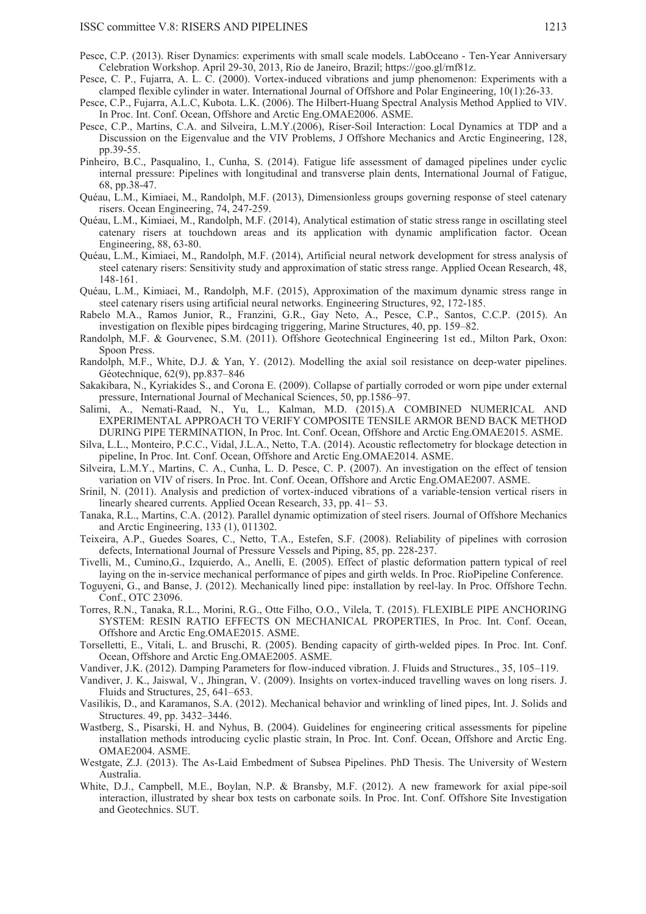- Pesce, C.P. (2013). Riser Dynamics: experiments with small scale models. LabOceano Ten-Year Anniversary Celebration Workshop. April 29-30, 2013, Rio de Janeiro, Brazil; https://goo.gl/rnf81z.
- Pesce, C. P., Fujarra, A. L. C. (2000). Vortex-induced vibrations and jump phenomenon: Experiments with a clamped flexible cylinder in water. International Journal of Offshore and Polar Engineering, 10(1):26-33.
- Pesce, C.P., Fujarra, A.L.C, Kubota. L.K. (2006). The Hilbert-Huang Spectral Analysis Method Applied to VIV. In Proc. Int. Conf. Ocean, Offshore and Arctic Eng.OMAE2006. ASME.
- Pesce, C.P., Martins, C.A. and Silveira, L.M.Y.(2006), Riser-Soil Interaction: Local Dynamics at TDP and a Discussion on the Eigenvalue and the VIV Problems, J Offshore Mechanics and Arctic Engineering, 128, pp.39-55.
- Pinheiro, B.C., Pasqualino, I., Cunha, S. (2014). Fatigue life assessment of damaged pipelines under cyclic internal pressure: Pipelines with longitudinal and transverse plain dents, International Journal of Fatigue, 68, pp.38-47.
- Quéau, L.M., Kimiaei, M., Randolph, M.F. (2013), Dimensionless groups governing response of steel catenary risers. Ocean Engineering, 74, 247-259.
- Quéau, L.M., Kimiaei, M., Randolph, M.F. (2014), Analytical estimation of static stress range in oscillating steel catenary risers at touchdown areas and its application with dynamic amplification factor. Ocean Engineering, 88, 63-80.
- Quéau, L.M., Kimiaei, M., Randolph, M.F. (2014), Artificial neural network development for stress analysis of steel catenary risers: Sensitivity study and approximation of static stress range. Applied Ocean Research, 48, 148-161.
- Quéau, L.M., Kimiaei, M., Randolph, M.F. (2015), Approximation of the maximum dynamic stress range in steel catenary risers using artificial neural networks. Engineering Structures, 92, 172-185.
- Rabelo M.A., Ramos Junior, R., Franzini, G.R., Gay Neto, A., Pesce, C.P., Santos, C.C.P. (2015). An investigation on flexible pipes birdcaging triggering, Marine Structures, 40, pp. 159–82.
- Randolph, M.F. & Gourvenec, S.M. (2011). Offshore Geotechnical Engineering 1st ed., Milton Park, Oxon: Spoon Press.
- Randolph, M.F., White, D.J. & Yan, Y. (2012). Modelling the axial soil resistance on deep-water pipelines. Géotechnique, 62(9), pp.837–846
- Sakakibara, N., Kyriakides S., and Corona E. (2009). Collapse of partially corroded or worn pipe under external pressure, International Journal of Mechanical Sciences, 50, pp.1586–97.
- Salimi, A., Nemati-Raad, N., Yu, L., Kalman, M.D. (2015).A COMBINED NUMERICAL AND EXPERIMENTAL APPROACH TO VERIFY COMPOSITE TENSILE ARMOR BEND BACK METHOD DURING PIPE TERMINATION, In Proc. Int. Conf. Ocean, Offshore and Arctic Eng.OMAE2015. ASME.
- Silva, L.L., Monteiro, P.C.C., Vidal, J.L.A., Netto, T.A. (2014). Acoustic reflectometry for blockage detection in pipeline, In Proc. Int. Conf. Ocean, Offshore and Arctic Eng.OMAE2014. ASME.
- Silveira, L.M.Y., Martins, C. A., Cunha, L. D. Pesce, C. P. (2007). An investigation on the effect of tension variation on VIV of risers. In Proc. Int. Conf. Ocean, Offshore and Arctic Eng.OMAE2007. ASME.
- Srinil, N. (2011). Analysis and prediction of vortex-induced vibrations of a variable-tension vertical risers in linearly sheared currents. Applied Ocean Research, 33, pp. 41– 53.
- Tanaka, R.L., Martins, C.A. (2012). Parallel dynamic optimization of steel risers. Journal of Offshore Mechanics and Arctic Engineering, 133 (1), 011302.
- Teixeira, A.P., Guedes Soares, C., Netto, T.A., Estefen, S.F. (2008). Reliability of pipelines with corrosion defects, International Journal of Pressure Vessels and Piping, 85, pp. 228-237.
- Tivelli, M., Cumino,G., Izquierdo, A., Anelli, E. (2005). Effect of plastic deformation pattern typical of reel laying on the in-service mechanical performance of pipes and girth welds. In Proc. RioPipeline Conference.
- Toguyeni, G., and Banse, J. (2012). Mechanically lined pipe: installation by reel-lay. In Proc. Offshore Techn. Conf., OTC 23096.
- Torres, R.N., Tanaka, R.L., Morini, R.G., Otte Filho, O.O., Vilela, T. (2015). FLEXIBLE PIPE ANCHORING SYSTEM: RESIN RATIO EFFECTS ON MECHANICAL PROPERTIES, In Proc. Int. Conf. Ocean, Offshore and Arctic Eng.OMAE2015. ASME.
- Torselletti, E., Vitali, L. and Bruschi, R. (2005). Bending capacity of girth-welded pipes. In Proc. Int. Conf. Ocean, Offshore and Arctic Eng.OMAE2005. ASME.
- Vandiver, J.K. (2012). Damping Parameters for flow-induced vibration. J. Fluids and Structures., 35, 105–119.
- Vandiver, J. K., Jaiswal, V., Jhingran, V. (2009). Insights on vortex-induced travelling waves on long risers. J. Fluids and Structures, 25, 641–653.
- Vasilikis, D., and Karamanos, S.A. (2012). Mechanical behavior and wrinkling of lined pipes, Int. J. Solids and Structures. 49, pp. 3432–3446.
- Wastberg, S., Pisarski, H. and Nyhus, B. (2004). Guidelines for engineering critical assessments for pipeline installation methods introducing cyclic plastic strain, In Proc. Int. Conf. Ocean, Offshore and Arctic Eng. OMAE2004. ASME.
- Westgate, Z.J. (2013). The As-Laid Embedment of Subsea Pipelines. PhD Thesis. The University of Western Australia.
- White, D.J., Campbell, M.E., Boylan, N.P. & Bransby, M.F. (2012). A new framework for axial pipe-soil interaction, illustrated by shear box tests on carbonate soils. In Proc. Int. Conf. Offshore Site Investigation and Geotechnics. SUT.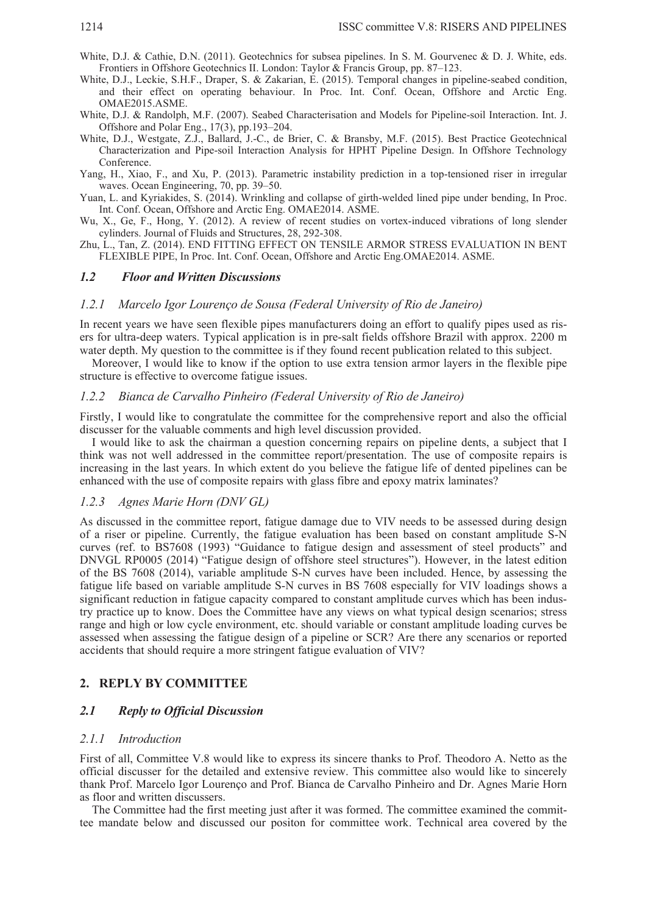- White, D.J. & Cathie, D.N. (2011). Geotechnics for subsea pipelines. In S. M. Gourvenec & D. J. White, eds. Frontiers in Offshore Geotechnics II. London: Taylor & Francis Group, pp. 87–123.
- White, D.J., Leckie, S.H.F., Draper, S. & Zakarian, E. (2015). Temporal changes in pipeline-seabed condition, and their effect on operating behaviour. In Proc. Int. Conf. Ocean, Offshore and Arctic Eng. OMAE2015.ASME.
- White, D.J. & Randolph, M.F. (2007). Seabed Characterisation and Models for Pipeline-soil Interaction. Int. J. Offshore and Polar Eng., 17(3), pp.193–204.
- White, D.J., Westgate, Z.J., Ballard, J.-C., de Brier, C. & Bransby, M.F. (2015). Best Practice Geotechnical Characterization and Pipe-soil Interaction Analysis for HPHT Pipeline Design. In Offshore Technology Conference.

Yang, H., Xiao, F., and Xu, P. (2013). Parametric instability prediction in a top-tensioned riser in irregular waves. Ocean Engineering, 70, pp. 39–50.

- Yuan, L. and Kyriakides, S. (2014). Wrinkling and collapse of girth-welded lined pipe under bending, In Proc. Int. Conf. Ocean, Offshore and Arctic Eng. OMAE2014. ASME.
- Wu, X., Ge, F., Hong, Y. (2012). A review of recent studies on vortex-induced vibrations of long slender cylinders. Journal of Fluids and Structures, 28, 292-308.
- Zhu, L., Tan, Z. (2014). END FITTING EFFECT ON TENSILE ARMOR STRESS EVALUATION IN BENT FLEXIBLE PIPE, In Proc. Int. Conf. Ocean, Offshore and Arctic Eng.OMAE2014. ASME.

#### *1.2 Floor and Written Discussions*

#### *1.2.1 Marcelo Igor Lourenço de Sousa (Federal University of Rio de Janeiro)*

In recent years we have seen flexible pipes manufacturers doing an effort to qualify pipes used as risers for ultra-deep waters. Typical application is in pre-salt fields offshore Brazil with approx. 2200 m water depth. My question to the committee is if they found recent publication related to this subject.

Moreover, I would like to know if the option to use extra tension armor layers in the flexible pipe structure is effective to overcome fatigue issues.

#### *1.2.2 Bianca de Carvalho Pinheiro (Federal University of Rio de Janeiro)*

Firstly, I would like to congratulate the committee for the comprehensive report and also the official discusser for the valuable comments and high level discussion provided.

I would like to ask the chairman a question concerning repairs on pipeline dents, a subject that I think was not well addressed in the committee report/presentation. The use of composite repairs is increasing in the last years. In which extent do you believe the fatigue life of dented pipelines can be enhanced with the use of composite repairs with glass fibre and epoxy matrix laminates?

#### *1.2.3 Agnes Marie Horn (DNV GL)*

As discussed in the committee report, fatigue damage due to VIV needs to be assessed during design of a riser or pipeline. Currently, the fatigue evaluation has been based on constant amplitude S-N curves (ref. to BS7608 (1993) "Guidance to fatigue design and assessment of steel products" and DNVGL RP0005 (2014) "Fatigue design of offshore steel structures"). However, in the latest edition of the BS 7608 (2014), variable amplitude S-N curves have been included. Hence, by assessing the fatigue life based on variable amplitude S-N curves in BS 7608 especially for VIV loadings shows a significant reduction in fatigue capacity compared to constant amplitude curves which has been industry practice up to know. Does the Committee have any views on what typical design scenarios; stress range and high or low cycle environment, etc. should variable or constant amplitude loading curves be assessed when assessing the fatigue design of a pipeline or SCR? Are there any scenarios or reported accidents that should require a more stringent fatigue evaluation of VIV?

## **2. REPLY BY COMMITTEE**

#### *2.1 Reply to Official Discussion*

### *2.1.1 Introduction*

First of all, Committee V.8 would like to express its sincere thanks to Prof. Theodoro A. Netto as the official discusser for the detailed and extensive review. This committee also would like to sincerely thank Prof. Marcelo Igor Lourenço and Prof. Bianca de Carvalho Pinheiro and Dr. Agnes Marie Horn as floor and written discussers.

The Committee had the first meeting just after it was formed. The committee examined the committee mandate below and discussed our positon for committee work. Technical area covered by the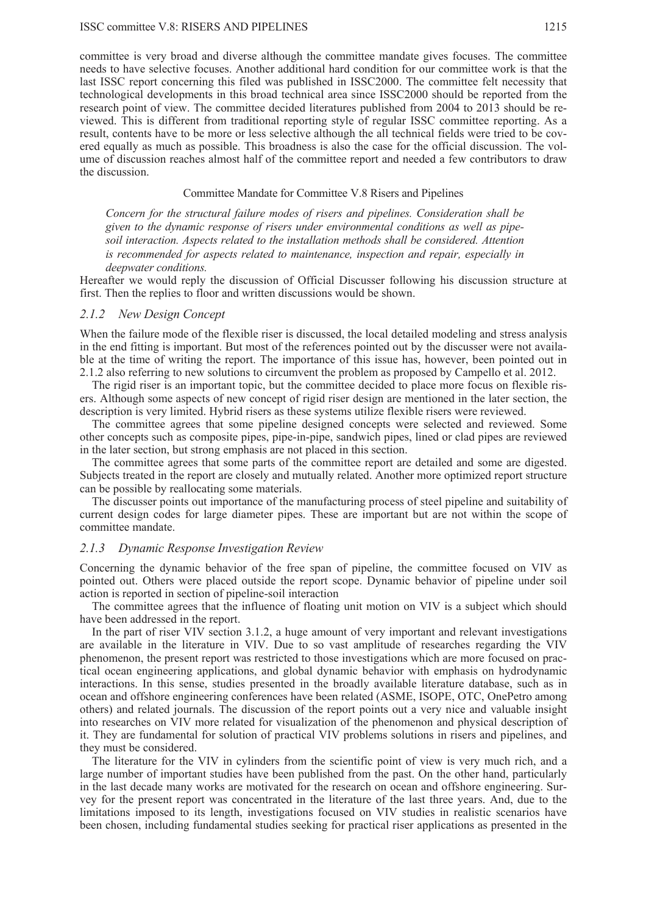committee is very broad and diverse although the committee mandate gives focuses. The committee needs to have selective focuses. Another additional hard condition for our committee work is that the last ISSC report concerning this filed was published in ISSC2000. The committee felt necessity that technological developments in this broad technical area since ISSC2000 should be reported from the research point of view. The committee decided literatures published from 2004 to 2013 should be reviewed. This is different from traditional reporting style of regular ISSC committee reporting. As a result, contents have to be more or less selective although the all technical fields were tried to be covered equally as much as possible. This broadness is also the case for the official discussion. The volume of discussion reaches almost half of the committee report and needed a few contributors to draw the discussion.

#### Committee Mandate for Committee V.8 Risers and Pipelines

*Concern for the structural failure modes of risers and pipelines. Consideration shall be given to the dynamic response of risers under environmental conditions as well as pipesoil interaction. Aspects related to the installation methods shall be considered. Attention is recommended for aspects related to maintenance, inspection and repair, especially in deepwater conditions.* 

Hereafter we would reply the discussion of Official Discusser following his discussion structure at first. Then the replies to floor and written discussions would be shown.

## *2.1.2 New Design Concept*

When the failure mode of the flexible riser is discussed, the local detailed modeling and stress analysis in the end fitting is important. But most of the references pointed out by the discusser were not available at the time of writing the report. The importance of this issue has, however, been pointed out in 2.1.2 also referring to new solutions to circumvent the problem as proposed by Campello et al. 2012.

The rigid riser is an important topic, but the committee decided to place more focus on flexible risers. Although some aspects of new concept of rigid riser design are mentioned in the later section, the description is very limited. Hybrid risers as these systems utilize flexible risers were reviewed.

The committee agrees that some pipeline designed concepts were selected and reviewed. Some other concepts such as composite pipes, pipe-in-pipe, sandwich pipes, lined or clad pipes are reviewed in the later section, but strong emphasis are not placed in this section.

The committee agrees that some parts of the committee report are detailed and some are digested. Subjects treated in the report are closely and mutually related. Another more optimized report structure can be possible by reallocating some materials.

The discusser points out importance of the manufacturing process of steel pipeline and suitability of current design codes for large diameter pipes. These are important but are not within the scope of committee mandate.

### *2.1.3 Dynamic Response Investigation Review*

Concerning the dynamic behavior of the free span of pipeline, the committee focused on VIV as pointed out. Others were placed outside the report scope. Dynamic behavior of pipeline under soil action is reported in section of pipeline-soil interaction

The committee agrees that the influence of floating unit motion on VIV is a subject which should have been addressed in the report.

In the part of riser VIV section 3.1.2, a huge amount of very important and relevant investigations are available in the literature in VIV. Due to so vast amplitude of researches regarding the VIV phenomenon, the present report was restricted to those investigations which are more focused on practical ocean engineering applications, and global dynamic behavior with emphasis on hydrodynamic interactions. In this sense, studies presented in the broadly available literature database, such as in ocean and offshore engineering conferences have been related (ASME, ISOPE, OTC, OnePetro among others) and related journals. The discussion of the report points out a very nice and valuable insight into researches on VIV more related for visualization of the phenomenon and physical description of it. They are fundamental for solution of practical VIV problems solutions in risers and pipelines, and they must be considered.

The literature for the VIV in cylinders from the scientific point of view is very much rich, and a large number of important studies have been published from the past. On the other hand, particularly in the last decade many works are motivated for the research on ocean and offshore engineering. Survey for the present report was concentrated in the literature of the last three years. And, due to the limitations imposed to its length, investigations focused on VIV studies in realistic scenarios have been chosen, including fundamental studies seeking for practical riser applications as presented in the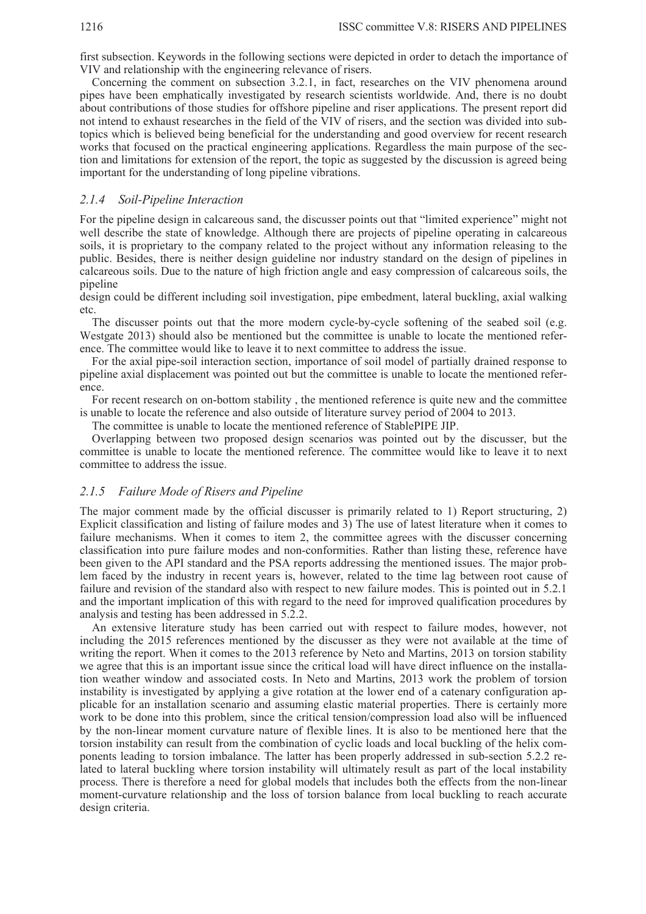first subsection. Keywords in the following sections were depicted in order to detach the importance of VIV and relationship with the engineering relevance of risers.

Concerning the comment on subsection 3.2.1, in fact, researches on the VIV phenomena around pipes have been emphatically investigated by research scientists worldwide. And, there is no doubt about contributions of those studies for offshore pipeline and riser applications. The present report did not intend to exhaust researches in the field of the VIV of risers, and the section was divided into subtopics which is believed being beneficial for the understanding and good overview for recent research works that focused on the practical engineering applications. Regardless the main purpose of the section and limitations for extension of the report, the topic as suggested by the discussion is agreed being important for the understanding of long pipeline vibrations.

### *2.1.4 Soil-Pipeline Interaction*

For the pipeline design in calcareous sand, the discusser points out that "limited experience" might not well describe the state of knowledge. Although there are projects of pipeline operating in calcareous soils, it is proprietary to the company related to the project without any information releasing to the public. Besides, there is neither design guideline nor industry standard on the design of pipelines in calcareous soils. Due to the nature of high friction angle and easy compression of calcareous soils, the pipeline

design could be different including soil investigation, pipe embedment, lateral buckling, axial walking etc.

The discusser points out that the more modern cycle-by-cycle softening of the seabed soil (e.g. Westgate 2013) should also be mentioned but the committee is unable to locate the mentioned reference. The committee would like to leave it to next committee to address the issue.

For the axial pipe-soil interaction section, importance of soil model of partially drained response to pipeline axial displacement was pointed out but the committee is unable to locate the mentioned reference.

For recent research on on-bottom stability , the mentioned reference is quite new and the committee is unable to locate the reference and also outside of literature survey period of 2004 to 2013.

The committee is unable to locate the mentioned reference of StablePIPE JIP.

Overlapping between two proposed design scenarios was pointed out by the discusser, but the committee is unable to locate the mentioned reference. The committee would like to leave it to next committee to address the issue.

#### *2.1.5 Failure Mode of Risers and Pipeline*

The major comment made by the official discusser is primarily related to 1) Report structuring, 2) Explicit classification and listing of failure modes and 3) The use of latest literature when it comes to failure mechanisms. When it comes to item 2, the committee agrees with the discusser concerning classification into pure failure modes and non-conformities. Rather than listing these, reference have been given to the API standard and the PSA reports addressing the mentioned issues. The major problem faced by the industry in recent years is, however, related to the time lag between root cause of failure and revision of the standard also with respect to new failure modes. This is pointed out in 5.2.1 and the important implication of this with regard to the need for improved qualification procedures by analysis and testing has been addressed in 5.2.2.

An extensive literature study has been carried out with respect to failure modes, however, not including the 2015 references mentioned by the discusser as they were not available at the time of writing the report. When it comes to the 2013 reference by Neto and Martins, 2013 on torsion stability we agree that this is an important issue since the critical load will have direct influence on the installation weather window and associated costs. In Neto and Martins, 2013 work the problem of torsion instability is investigated by applying a give rotation at the lower end of a catenary configuration applicable for an installation scenario and assuming elastic material properties. There is certainly more work to be done into this problem, since the critical tension/compression load also will be influenced by the non-linear moment curvature nature of flexible lines. It is also to be mentioned here that the torsion instability can result from the combination of cyclic loads and local buckling of the helix components leading to torsion imbalance. The latter has been properly addressed in sub-section 5.2.2 related to lateral buckling where torsion instability will ultimately result as part of the local instability process. There is therefore a need for global models that includes both the effects from the non-linear moment-curvature relationship and the loss of torsion balance from local buckling to reach accurate design criteria.